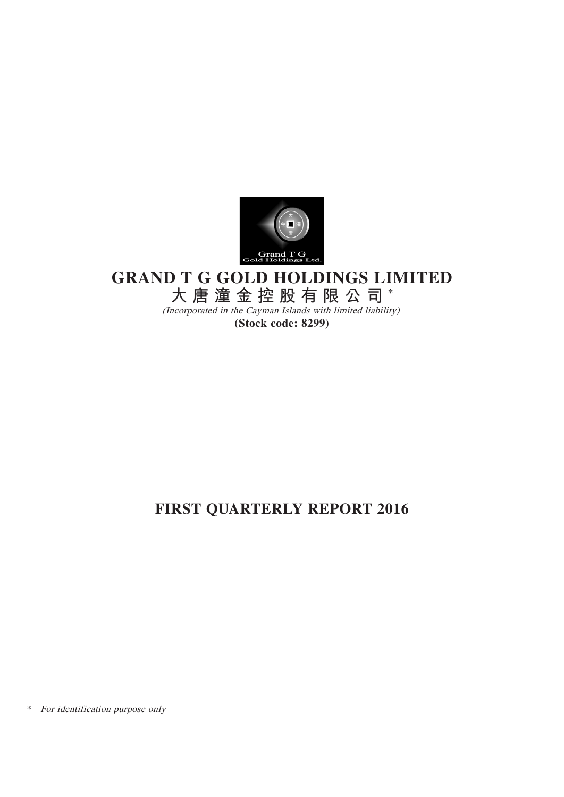

# **GRAND T G GOLD HOLDINGS LIMITED**

**大唐潼金控股有限公司** \*

(Incorporated in the Cayman Islands with limited liability) **(Stock code: 8299)**

# **FIRST QUARTERLY REPORT 2016**

\* For identification purpose only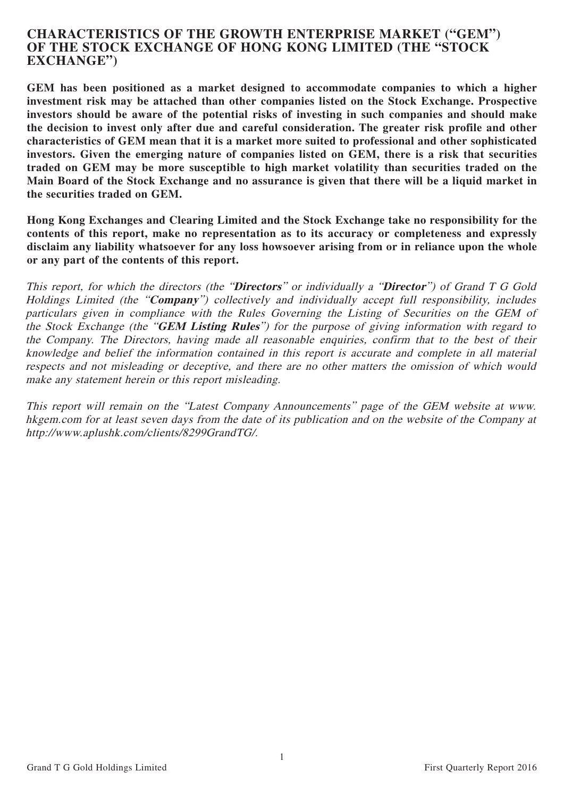## **CHARACTERISTICS OF THE GROWTH ENTERPRISE MARKET ("GEM") OF THE STOCK EXCHANGE OF HONG KONG LIMITED (THE "STOCK EXCHANGE")**

**GEM has been positioned as a market designed to accommodate companies to which a higher investment risk may be attached than other companies listed on the Stock Exchange. Prospective investors should be aware of the potential risks of investing in such companies and should make the decision to invest only after due and careful consideration. The greater risk profile and other characteristics of GEM mean that it is a market more suited to professional and other sophisticated investors. Given the emerging nature of companies listed on GEM, there is a risk that securities traded on GEM may be more susceptible to high market volatility than securities traded on the Main Board of the Stock Exchange and no assurance is given that there will be a liquid market in the securities traded on GEM.**

**Hong Kong Exchanges and Clearing Limited and the Stock Exchange take no responsibility for the contents of this report, make no representation as to its accuracy or completeness and expressly disclaim any liability whatsoever for any loss howsoever arising from or in reliance upon the whole or any part of the contents of this report.**

This report, for which the directors (the "**Directors**" or individually a "**Director**") of Grand T G Gold Holdings Limited (the "**Company**") collectively and individually accept full responsibility, includes particulars given in compliance with the Rules Governing the Listing of Securities on the GEM of the Stock Exchange (the "**GEM Listing Rules**") for the purpose of giving information with regard to the Company. The Directors, having made all reasonable enquiries, confirm that to the best of their knowledge and belief the information contained in this report is accurate and complete in all material respects and not misleading or deceptive, and there are no other matters the omission of which would make any statement herein or this report misleading.

This report will remain on the "Latest Company Announcements" page of the GEM website at www. hkgem.com for at least seven days from the date of its publication and on the website of the Company at http://www.aplushk.com/clients/8299GrandTG/.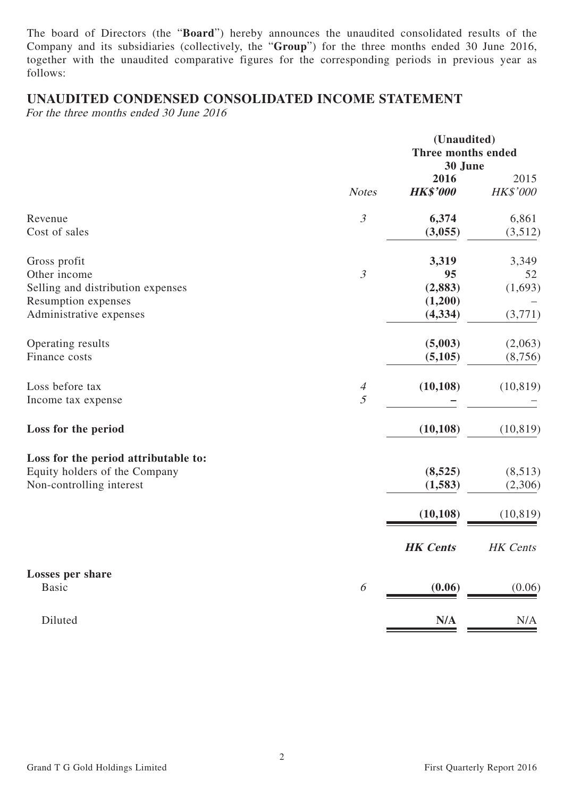The board of Directors (the "**Board**") hereby announces the unaudited consolidated results of the Company and its subsidiaries (collectively, the "**Group**") for the three months ended 30 June 2016, together with the unaudited comparative figures for the corresponding periods in previous year as follows:

## **UNAUDITED CONDENSED CONSOLIDATED INCOME STATEMENT**

For the three months ended 30 June 2016

|                                      |                | (Unaudited)<br>Three months ended<br>30 June |                  |
|--------------------------------------|----------------|----------------------------------------------|------------------|
|                                      | <b>Notes</b>   | 2016<br><b>HK\$'000</b>                      | 2015<br>HK\$'000 |
| Revenue<br>Cost of sales             | $\mathfrak{Z}$ | 6,374                                        | 6,861            |
|                                      |                | (3,055)                                      | (3,512)          |
| Gross profit                         |                | 3,319                                        | 3,349            |
| Other income                         | $\mathfrak{Z}$ | 95                                           | 52               |
| Selling and distribution expenses    |                | (2, 883)                                     | (1,693)          |
| Resumption expenses                  |                | (1,200)                                      |                  |
| Administrative expenses              |                | (4, 334)                                     | (3,771)          |
| Operating results                    |                | (5,003)                                      | (2,063)          |
| Finance costs                        |                | (5, 105)                                     | (8,756)          |
| Loss before tax                      | $\overline{4}$ | (10, 108)                                    | (10, 819)        |
| Income tax expense                   | 5              |                                              |                  |
| Loss for the period                  |                | (10, 108)                                    | (10, 819)        |
| Loss for the period attributable to: |                |                                              |                  |
| Equity holders of the Company        |                | (8,525)                                      | (8,513)          |
| Non-controlling interest             |                | (1,583)                                      | (2,306)          |
|                                      |                | (10, 108)                                    | (10, 819)        |
|                                      |                | <b>HK</b> Cents                              | <b>HK</b> Cents  |
| <b>Losses per share</b>              |                |                                              |                  |
| <b>Basic</b>                         | 6              | (0.06)                                       | (0.06)           |
| Diluted                              |                | N/A                                          | N/A              |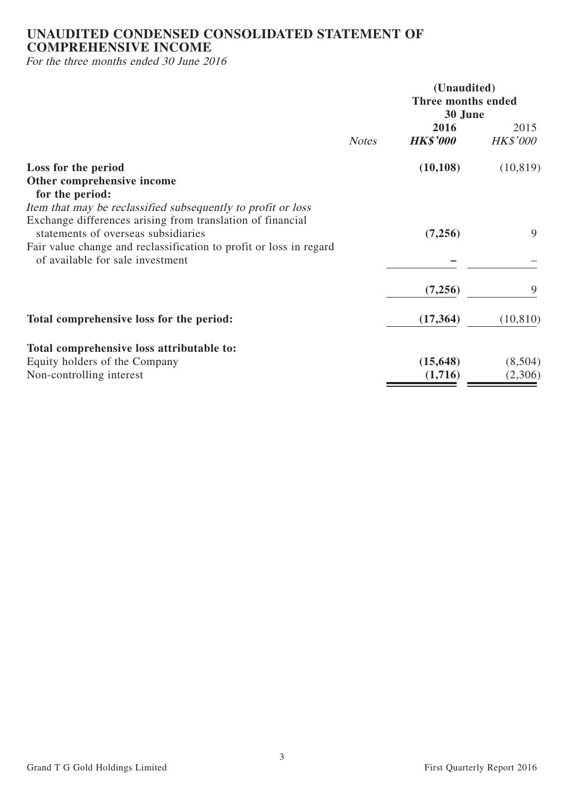## **UNAUDITED CONDENSED CONSOLIDATED STATEMENT OF COMPREHENSIVE INCOME**

For the three months ended 30 June 2016

| <b>Notes</b>                                                                                                                                  | 30 June<br>2016      |                         |
|-----------------------------------------------------------------------------------------------------------------------------------------------|----------------------|-------------------------|
|                                                                                                                                               | <b>HK\$'000</b>      | 2015<br><b>HK\$'000</b> |
| Loss for the period<br>Other comprehensive income                                                                                             | (10, 108)            | (10, 819)               |
| for the period:<br>Item that may be reclassified subsequently to profit or loss<br>Exchange differences arising from translation of financial |                      |                         |
| statements of overseas subsidiaries<br>Fair value change and reclassification to profit or loss in regard<br>of available for sale investment | (7,256)              | 9                       |
|                                                                                                                                               | (7,256)              | 9                       |
| Total comprehensive loss for the period:                                                                                                      | (17, 364)            | (10, 810)               |
| Total comprehensive loss attributable to:                                                                                                     |                      |                         |
| Equity holders of the Company<br>Non-controlling interest                                                                                     | (15, 648)<br>(1,716) | (8,504)<br>(2,306)      |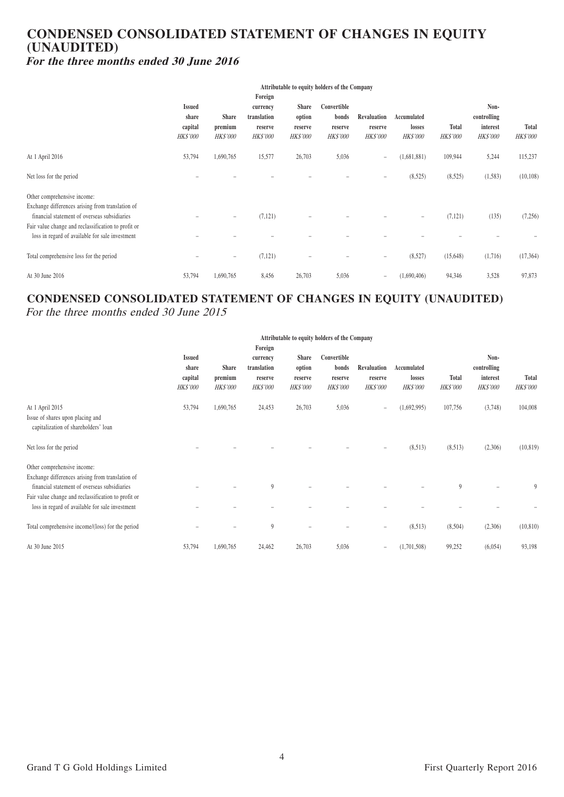## **CONDENSED CONSOLIDATED STATEMENT OF CHANGES IN EQUITY (UNAUDITED) For the three months ended 30 June 2016**

| Attributable to equity holders of the Company                                                                                                                                                                                             |                                                      |                                            |                                                                  |                                                      |                                                    |                                           |                                          |                          |                                                    |                          |
|-------------------------------------------------------------------------------------------------------------------------------------------------------------------------------------------------------------------------------------------|------------------------------------------------------|--------------------------------------------|------------------------------------------------------------------|------------------------------------------------------|----------------------------------------------------|-------------------------------------------|------------------------------------------|--------------------------|----------------------------------------------------|--------------------------|
|                                                                                                                                                                                                                                           | <b>Issued</b><br>share<br>capital<br><b>HK\$'000</b> | <b>Share</b><br>premium<br><b>HK\$'000</b> | Foreign<br>currency<br>translation<br>reserve<br><b>HK\$'000</b> | <b>Share</b><br>option<br>reserve<br><b>HK\$'000</b> | Convertible<br>bonds<br>reserve<br><i>HK\$'000</i> | Revaluation<br>reserve<br><b>HK\$'000</b> | Accumulated<br>losses<br><b>HK\$'000</b> | Total<br><b>HK\$'000</b> | Non-<br>controlling<br>interest<br><i>HK\$'000</i> | Total<br><b>HK\$'000</b> |
| At 1 April 2016                                                                                                                                                                                                                           | 53,794                                               | 1,690,765                                  | 15,577                                                           | 26,703                                               | 5,036                                              | $\overline{\phantom{a}}$                  | (1,681,881)                              | 109,944                  | 5,244                                              | 115,237                  |
| Net loss for the period                                                                                                                                                                                                                   |                                                      |                                            |                                                                  |                                                      |                                                    | -                                         | (8,525)                                  | (8,525)                  | (1,583)                                            | (10, 108)                |
| Other comprehensive income:<br>Exchange differences arising from translation of<br>financial statement of overseas subsidiaries<br>Fair value change and reclassification to profit or<br>loss in regard of available for sale investment |                                                      | $\overline{\phantom{m}}$                   | (7, 121)                                                         | $\overline{\phantom{0}}$                             |                                                    |                                           | $\overline{\phantom{m}}$                 | (7,121)                  | (135)                                              | (7,256)                  |
| Total comprehensive loss for the period                                                                                                                                                                                                   |                                                      | $\qquad \qquad -$                          | (7, 121)                                                         |                                                      |                                                    | -                                         | (8,527)                                  | (15,648)                 | (1,716)                                            | (17, 364)                |
| At 30 June 2016                                                                                                                                                                                                                           | 53,794                                               | 1,690,765                                  | 8,456                                                            | 26,703                                               | 5,036                                              | $\overline{\phantom{a}}$                  | (1,690,406)                              | 94,346                   | 3,528                                              | 97,873                   |

## **CONDENSED CONSOLIDATED STATEMENT OF CHANGES IN EQUITY (UNAUDITED)**

For the three months ended 30 June 2015

|                                                                                                                                                                                                                                           | Attributable to equity holders of the Company        |                                            |                                                                  |                                                      |                                                    |                                           |                                          |                                 |                                             |                                 |
|-------------------------------------------------------------------------------------------------------------------------------------------------------------------------------------------------------------------------------------------|------------------------------------------------------|--------------------------------------------|------------------------------------------------------------------|------------------------------------------------------|----------------------------------------------------|-------------------------------------------|------------------------------------------|---------------------------------|---------------------------------------------|---------------------------------|
|                                                                                                                                                                                                                                           | <b>Issued</b><br>share<br>capital<br><b>HK\$'000</b> | <b>Share</b><br>premium<br><b>HK\$'000</b> | Foreign<br>currency<br>translation<br>reserve<br><b>HK\$'000</b> | <b>Share</b><br>option<br>reserve<br><b>HK\$'000</b> | Convertible<br>bonds<br>reserve<br><b>HK\$'000</b> | Revaluation<br>reserve<br><b>HK\$'000</b> | Accumulated<br>losses<br><b>HK\$'000</b> | <b>Total</b><br><b>HK\$'000</b> | Non-<br>controlling<br>interest<br>HK\$'000 | <b>Total</b><br><b>HK\$'000</b> |
| At 1 April 2015<br>Issue of shares upon placing and<br>capitalization of shareholders' loan                                                                                                                                               | 53,794                                               | 1,690,765                                  | 24,453                                                           | 26,703                                               | 5,036                                              | $\qquad \qquad -$                         | (1,692,995)                              | 107,756                         | (3,748)                                     | 104,008                         |
| Net loss for the period                                                                                                                                                                                                                   |                                                      |                                            |                                                                  |                                                      |                                                    | -                                         | (8,513)                                  | (8,513)                         | (2,306)                                     | (10, 819)                       |
| Other comprehensive income:<br>Exchange differences arising from translation of<br>financial statement of overseas subsidiaries<br>Fair value change and reclassification to profit or<br>loss in regard of available for sale investment |                                                      |                                            | $\overline{9}$                                                   |                                                      |                                                    |                                           |                                          | 9                               |                                             | 9                               |
| Total comprehensive income/(loss) for the period                                                                                                                                                                                          |                                                      |                                            | 9                                                                |                                                      |                                                    | $\equiv$                                  | (8,513)                                  | (8,504)                         | (2,306)                                     | (10, 810)                       |
| At 30 June 2015                                                                                                                                                                                                                           | 53,794                                               | 1,690,765                                  | 24,462                                                           | 26,703                                               | 5,036                                              | $\qquad \qquad -$                         | (1,701,508)                              | 99,252                          | (6,054)                                     | 93,198                          |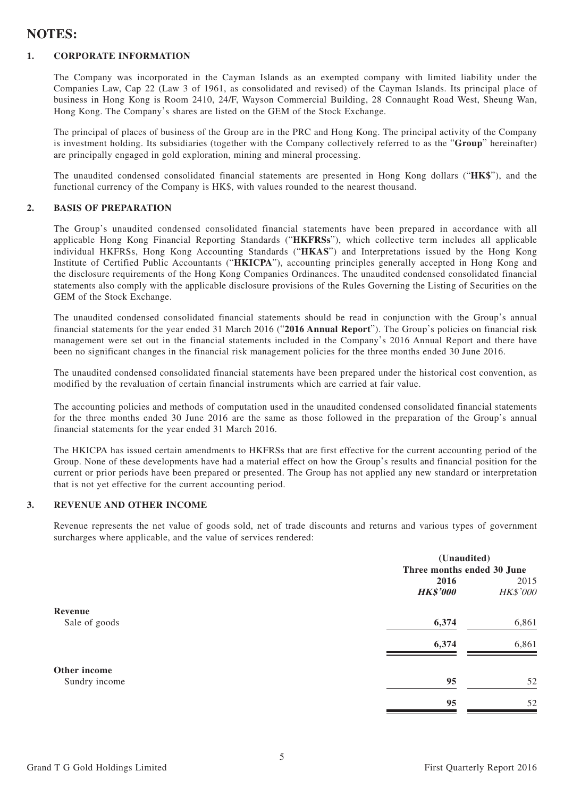## **NOTES:**

#### **1. CORPORATE INFORMATION**

The Company was incorporated in the Cayman Islands as an exempted company with limited liability under the Companies Law, Cap 22 (Law 3 of 1961, as consolidated and revised) of the Cayman Islands. Its principal place of business in Hong Kong is Room 2410, 24/F, Wayson Commercial Building, 28 Connaught Road West, Sheung Wan, Hong Kong. The Company's shares are listed on the GEM of the Stock Exchange.

The principal of places of business of the Group are in the PRC and Hong Kong. The principal activity of the Company is investment holding. Its subsidiaries (together with the Company collectively referred to as the "**Group**" hereinafter) are principally engaged in gold exploration, mining and mineral processing.

The unaudited condensed consolidated financial statements are presented in Hong Kong dollars ("**HK\$**"), and the functional currency of the Company is HK\$, with values rounded to the nearest thousand.

#### **2. BASIS OF PREPARATION**

The Group's unaudited condensed consolidated financial statements have been prepared in accordance with all applicable Hong Kong Financial Reporting Standards ("**HKFRSs**"), which collective term includes all applicable individual HKFRSs, Hong Kong Accounting Standards ("**HKAS**") and Interpretations issued by the Hong Kong Institute of Certified Public Accountants ("**HKICPA**"), accounting principles generally accepted in Hong Kong and the disclosure requirements of the Hong Kong Companies Ordinances. The unaudited condensed consolidated financial statements also comply with the applicable disclosure provisions of the Rules Governing the Listing of Securities on the GEM of the Stock Exchange.

The unaudited condensed consolidated financial statements should be read in conjunction with the Group's annual financial statements for the year ended 31 March 2016 ("**2016 Annual Report**"). The Group's policies on financial risk management were set out in the financial statements included in the Company's 2016 Annual Report and there have been no significant changes in the financial risk management policies for the three months ended 30 June 2016.

The unaudited condensed consolidated financial statements have been prepared under the historical cost convention, as modified by the revaluation of certain financial instruments which are carried at fair value.

The accounting policies and methods of computation used in the unaudited condensed consolidated financial statements for the three months ended 30 June 2016 are the same as those followed in the preparation of the Group's annual financial statements for the year ended 31 March 2016.

The HKICPA has issued certain amendments to HKFRSs that are first effective for the current accounting period of the Group. None of these developments have had a material effect on how the Group's results and financial position for the current or prior periods have been prepared or presented. The Group has not applied any new standard or interpretation that is not yet effective for the current accounting period.

#### **3. REVENUE AND OTHER INCOME**

Revenue represents the net value of goods sold, net of trade discounts and returns and various types of government surcharges where applicable, and the value of services rendered:

|               | (Unaudited)                |          |  |
|---------------|----------------------------|----------|--|
|               | Three months ended 30 June |          |  |
|               | 2016                       | 2015     |  |
|               | <b>HK\$'000</b>            | HK\$'000 |  |
| Revenue       |                            |          |  |
| Sale of goods | 6,374                      | 6,861    |  |
|               | 6,374                      | 6,861    |  |
| Other income  |                            |          |  |
| Sundry income | 95                         | 52       |  |
|               | 95                         | 52       |  |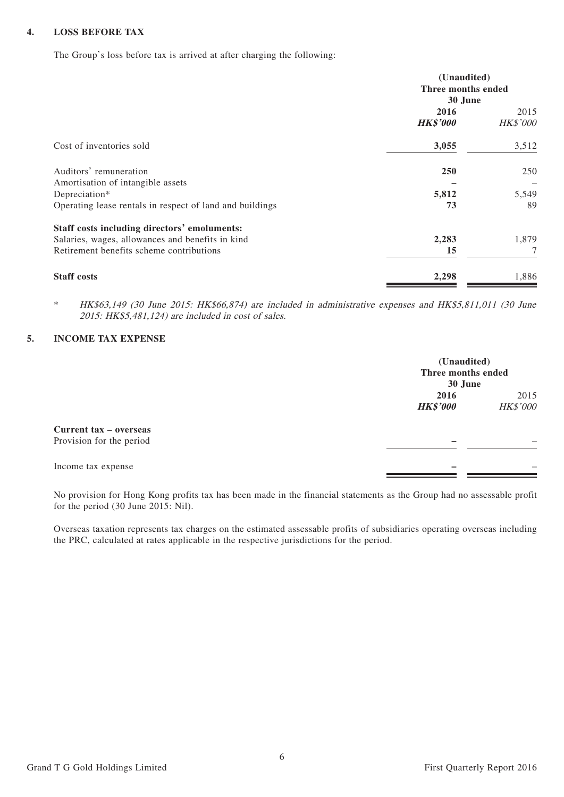#### **4. LOSS BEFORE TAX**

The Group's loss before tax is arrived at after charging the following:

|                                                          | (Unaudited)<br>Three months ended<br>30 June |                         |  |
|----------------------------------------------------------|----------------------------------------------|-------------------------|--|
|                                                          | 2016<br><b>HK\$'000</b>                      | 2015<br><b>HK\$'000</b> |  |
| Cost of inventories sold                                 | 3,055                                        | 3,512                   |  |
| Auditors' remuneration                                   | <b>250</b>                                   | 250                     |  |
| Amortisation of intangible assets<br>Depreciation*       | 5,812                                        | 5,549                   |  |
| Operating lease rentals in respect of land and buildings | 73                                           | 89                      |  |
| Staff costs including directors' emoluments:             |                                              |                         |  |
| Salaries, wages, allowances and benefits in kind         | 2,283                                        | 1,879                   |  |
| Retirement benefits scheme contributions                 | 15                                           | 7                       |  |
| <b>Staff costs</b>                                       | 2,298                                        | 1,886                   |  |

\* HK\$63,149 (30 June 2015: HK\$66,874) are included in administrative expenses and HK\$5,811,011 (30 June 2015: HK\$5,481,124) are included in cost of sales.

#### **5. INCOME TAX EXPENSE**

|                          | (Unaudited)<br>Three months ended<br>30 June |                 |
|--------------------------|----------------------------------------------|-----------------|
|                          | 2016                                         | 2015            |
|                          | <b>HK\$'000</b>                              | <b>HK\$'000</b> |
| Current tax - overseas   |                                              |                 |
| Provision for the period |                                              |                 |
| Income tax expense       |                                              |                 |

No provision for Hong Kong profits tax has been made in the financial statements as the Group had no assessable profit for the period (30 June 2015: Nil).

Overseas taxation represents tax charges on the estimated assessable profits of subsidiaries operating overseas including the PRC, calculated at rates applicable in the respective jurisdictions for the period.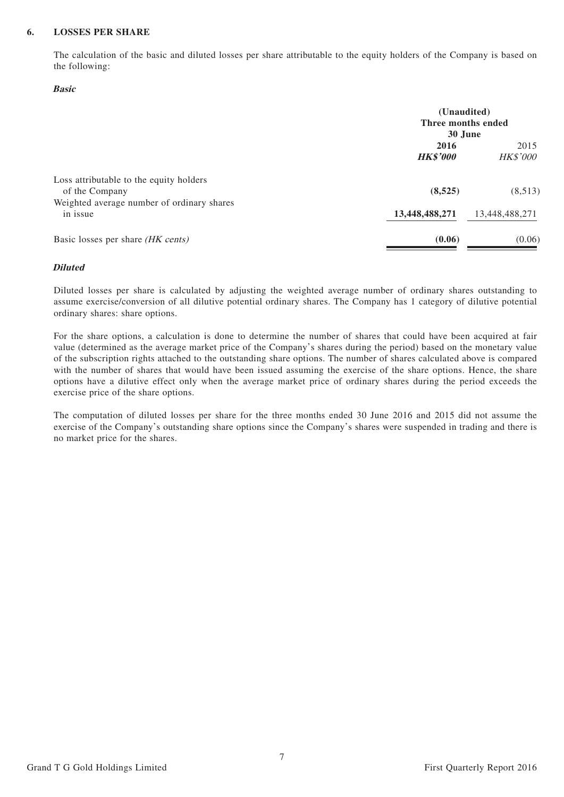#### **6. LOSSES PER SHARE**

The calculation of the basic and diluted losses per share attributable to the equity holders of the Company is based on the following:

#### **Basic**

|                                                           | (Unaudited)<br>Three months ended<br>30 June |                         |  |
|-----------------------------------------------------------|----------------------------------------------|-------------------------|--|
|                                                           | 2016<br><b>HK\$'000</b>                      | 2015<br><b>HK\$'000</b> |  |
| Loss attributable to the equity holders<br>of the Company | (8,525)                                      | (8,513)                 |  |
| Weighted average number of ordinary shares<br>in issue    | 13,448,488,271                               | 13,448,488,271          |  |
| Basic losses per share (HK cents)                         | (0.06)                                       | (0.06)                  |  |

#### **Diluted**

Diluted losses per share is calculated by adjusting the weighted average number of ordinary shares outstanding to assume exercise/conversion of all dilutive potential ordinary shares. The Company has 1 category of dilutive potential ordinary shares: share options.

For the share options, a calculation is done to determine the number of shares that could have been acquired at fair value (determined as the average market price of the Company's shares during the period) based on the monetary value of the subscription rights attached to the outstanding share options. The number of shares calculated above is compared with the number of shares that would have been issued assuming the exercise of the share options. Hence, the share options have a dilutive effect only when the average market price of ordinary shares during the period exceeds the exercise price of the share options.

The computation of diluted losses per share for the three months ended 30 June 2016 and 2015 did not assume the exercise of the Company's outstanding share options since the Company's shares were suspended in trading and there is no market price for the shares.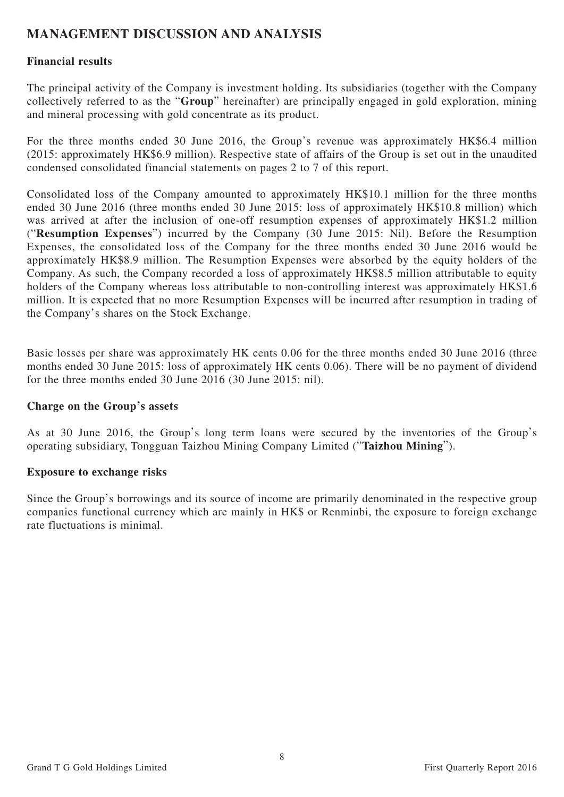## **MANAGEMENT DISCUSSION AND ANALYSIS**

## **Financial results**

The principal activity of the Company is investment holding. Its subsidiaries (together with the Company collectively referred to as the "**Group**" hereinafter) are principally engaged in gold exploration, mining and mineral processing with gold concentrate as its product.

For the three months ended 30 June 2016, the Group's revenue was approximately HK\$6.4 million (2015: approximately HK\$6.9 million). Respective state of affairs of the Group is set out in the unaudited condensed consolidated financial statements on pages 2 to 7 of this report.

Consolidated loss of the Company amounted to approximately HK\$10.1 million for the three months ended 30 June 2016 (three months ended 30 June 2015: loss of approximately HK\$10.8 million) which was arrived at after the inclusion of one-off resumption expenses of approximately HK\$1.2 million ("**Resumption Expenses**") incurred by the Company (30 June 2015: Nil). Before the Resumption Expenses, the consolidated loss of the Company for the three months ended 30 June 2016 would be approximately HK\$8.9 million. The Resumption Expenses were absorbed by the equity holders of the Company. As such, the Company recorded a loss of approximately HK\$8.5 million attributable to equity holders of the Company whereas loss attributable to non-controlling interest was approximately HK\$1.6 million. It is expected that no more Resumption Expenses will be incurred after resumption in trading of the Company's shares on the Stock Exchange.

Basic losses per share was approximately HK cents 0.06 for the three months ended 30 June 2016 (three months ended 30 June 2015: loss of approximately HK cents 0.06). There will be no payment of dividend for the three months ended 30 June 2016 (30 June 2015: nil).

## **Charge on the Group's assets**

As at 30 June 2016, the Group's long term loans were secured by the inventories of the Group's operating subsidiary, Tongguan Taizhou Mining Company Limited ("**Taizhou Mining**").

#### **Exposure to exchange risks**

Since the Group's borrowings and its source of income are primarily denominated in the respective group companies functional currency which are mainly in HK\$ or Renminbi, the exposure to foreign exchange rate fluctuations is minimal.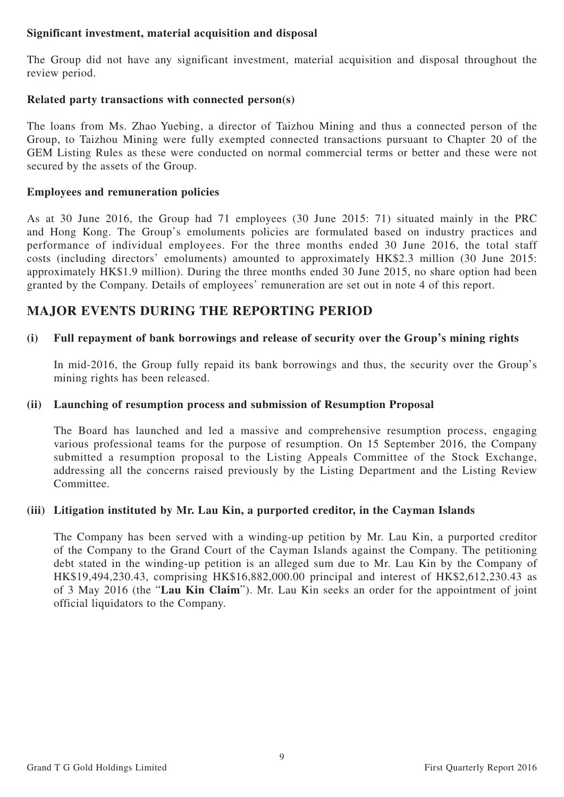## **Significant investment, material acquisition and disposal**

The Group did not have any significant investment, material acquisition and disposal throughout the review period.

## **Related party transactions with connected person(s)**

The loans from Ms. Zhao Yuebing, a director of Taizhou Mining and thus a connected person of the Group, to Taizhou Mining were fully exempted connected transactions pursuant to Chapter 20 of the GEM Listing Rules as these were conducted on normal commercial terms or better and these were not secured by the assets of the Group.

## **Employees and remuneration policies**

As at 30 June 2016, the Group had 71 employees (30 June 2015: 71) situated mainly in the PRC and Hong Kong. The Group's emoluments policies are formulated based on industry practices and performance of individual employees. For the three months ended 30 June 2016, the total staff costs (including directors' emoluments) amounted to approximately HK\$2.3 million (30 June 2015: approximately HK\$1.9 million). During the three months ended 30 June 2015, no share option had been granted by the Company. Details of employees' remuneration are set out in note 4 of this report.

## **MAJOR EVENTS DURING THE REPORTING PERIOD**

## **(i) Full repayment of bank borrowings and release of security over the Group's mining rights**

In mid-2016, the Group fully repaid its bank borrowings and thus, the security over the Group's mining rights has been released.

## **(ii) Launching of resumption process and submission of Resumption Proposal**

The Board has launched and led a massive and comprehensive resumption process, engaging various professional teams for the purpose of resumption. On 15 September 2016, the Company submitted a resumption proposal to the Listing Appeals Committee of the Stock Exchange, addressing all the concerns raised previously by the Listing Department and the Listing Review Committee.

## **(iii) Litigation instituted by Mr. Lau Kin, a purported creditor, in the Cayman Islands**

The Company has been served with a winding-up petition by Mr. Lau Kin, a purported creditor of the Company to the Grand Court of the Cayman Islands against the Company. The petitioning debt stated in the winding-up petition is an alleged sum due to Mr. Lau Kin by the Company of HK\$19,494,230.43, comprising HK\$16,882,000.00 principal and interest of HK\$2,612,230.43 as of 3 May 2016 (the "**Lau Kin Claim**"). Mr. Lau Kin seeks an order for the appointment of joint official liquidators to the Company.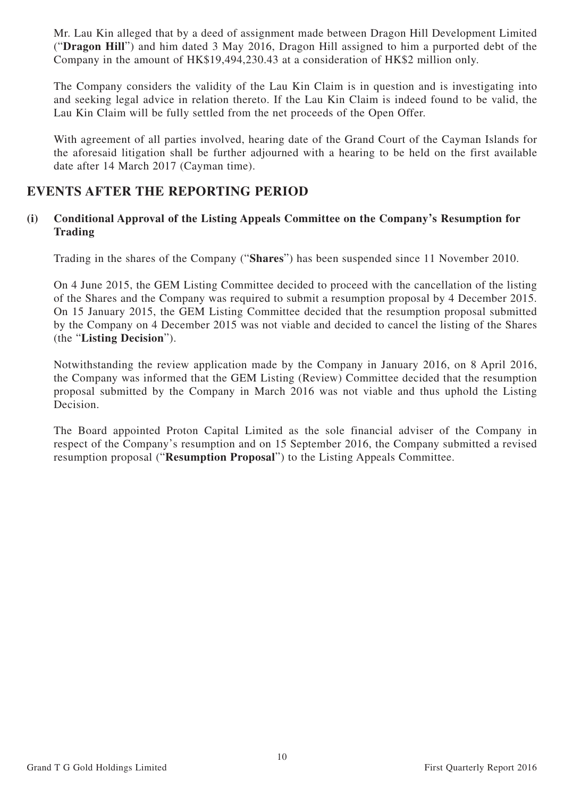Mr. Lau Kin alleged that by a deed of assignment made between Dragon Hill Development Limited ("**Dragon Hill**") and him dated 3 May 2016, Dragon Hill assigned to him a purported debt of the Company in the amount of HK\$19,494,230.43 at a consideration of HK\$2 million only.

The Company considers the validity of the Lau Kin Claim is in question and is investigating into and seeking legal advice in relation thereto. If the Lau Kin Claim is indeed found to be valid, the Lau Kin Claim will be fully settled from the net proceeds of the Open Offer.

With agreement of all parties involved, hearing date of the Grand Court of the Cayman Islands for the aforesaid litigation shall be further adjourned with a hearing to be held on the first available date after 14 March 2017 (Cayman time).

## **EVENTS AFTER THE REPORTING PERIOD**

### **(i) Conditional Approval of the Listing Appeals Committee on the Company's Resumption for Trading**

Trading in the shares of the Company ("**Shares**") has been suspended since 11 November 2010.

On 4 June 2015, the GEM Listing Committee decided to proceed with the cancellation of the listing of the Shares and the Company was required to submit a resumption proposal by 4 December 2015. On 15 January 2015, the GEM Listing Committee decided that the resumption proposal submitted by the Company on 4 December 2015 was not viable and decided to cancel the listing of the Shares (the "**Listing Decision**").

Notwithstanding the review application made by the Company in January 2016, on 8 April 2016, the Company was informed that the GEM Listing (Review) Committee decided that the resumption proposal submitted by the Company in March 2016 was not viable and thus uphold the Listing Decision.

The Board appointed Proton Capital Limited as the sole financial adviser of the Company in respect of the Company's resumption and on 15 September 2016, the Company submitted a revised resumption proposal ("**Resumption Proposal**") to the Listing Appeals Committee.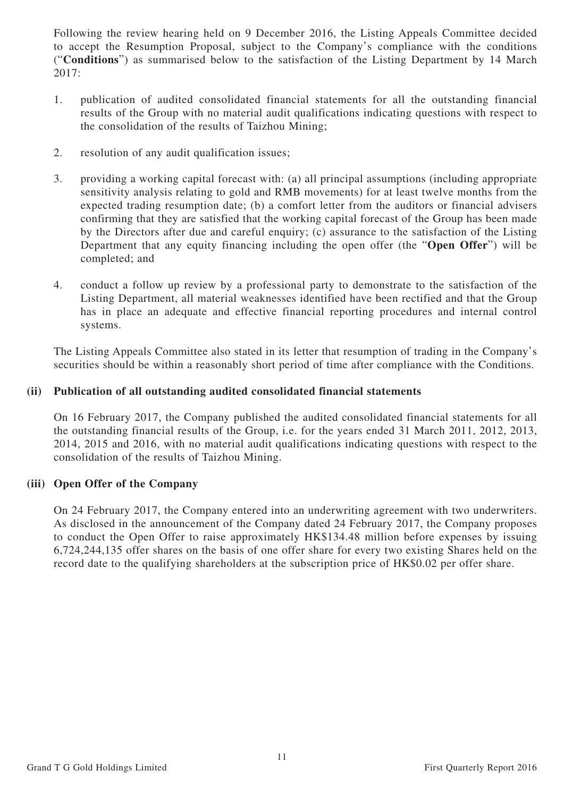Following the review hearing held on 9 December 2016, the Listing Appeals Committee decided to accept the Resumption Proposal, subject to the Company's compliance with the conditions ("**Conditions**") as summarised below to the satisfaction of the Listing Department by 14 March 2017:

- 1. publication of audited consolidated financial statements for all the outstanding financial results of the Group with no material audit qualifications indicating questions with respect to the consolidation of the results of Taizhou Mining;
- 2. resolution of any audit qualification issues;
- 3. providing a working capital forecast with: (a) all principal assumptions (including appropriate sensitivity analysis relating to gold and RMB movements) for at least twelve months from the expected trading resumption date; (b) a comfort letter from the auditors or financial advisers confirming that they are satisfied that the working capital forecast of the Group has been made by the Directors after due and careful enquiry; (c) assurance to the satisfaction of the Listing Department that any equity financing including the open offer (the "**Open Offer**") will be completed; and
- 4. conduct a follow up review by a professional party to demonstrate to the satisfaction of the Listing Department, all material weaknesses identified have been rectified and that the Group has in place an adequate and effective financial reporting procedures and internal control systems.

The Listing Appeals Committee also stated in its letter that resumption of trading in the Company's securities should be within a reasonably short period of time after compliance with the Conditions.

## **(ii) Publication of all outstanding audited consolidated financial statements**

On 16 February 2017, the Company published the audited consolidated financial statements for all the outstanding financial results of the Group, i.e. for the years ended 31 March 2011, 2012, 2013, 2014, 2015 and 2016, with no material audit qualifications indicating questions with respect to the consolidation of the results of Taizhou Mining.

## **(iii) Open Offer of the Company**

On 24 February 2017, the Company entered into an underwriting agreement with two underwriters. As disclosed in the announcement of the Company dated 24 February 2017, the Company proposes to conduct the Open Offer to raise approximately HK\$134.48 million before expenses by issuing 6,724,244,135 offer shares on the basis of one offer share for every two existing Shares held on the record date to the qualifying shareholders at the subscription price of HK\$0.02 per offer share.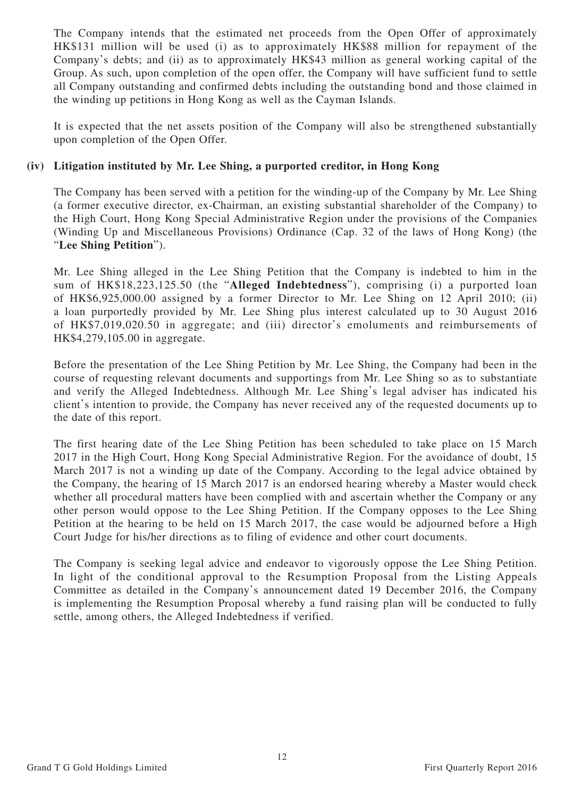The Company intends that the estimated net proceeds from the Open Offer of approximately HK\$131 million will be used (i) as to approximately HK\$88 million for repayment of the Company's debts; and (ii) as to approximately HK\$43 million as general working capital of the Group. As such, upon completion of the open offer, the Company will have sufficient fund to settle all Company outstanding and confirmed debts including the outstanding bond and those claimed in the winding up petitions in Hong Kong as well as the Cayman Islands.

It is expected that the net assets position of the Company will also be strengthened substantially upon completion of the Open Offer.

### **(iv) Litigation instituted by Mr. Lee Shing, a purported creditor, in Hong Kong**

The Company has been served with a petition for the winding-up of the Company by Mr. Lee Shing (a former executive director, ex-Chairman, an existing substantial shareholder of the Company) to the High Court, Hong Kong Special Administrative Region under the provisions of the Companies (Winding Up and Miscellaneous Provisions) Ordinance (Cap. 32 of the laws of Hong Kong) (the "**Lee Shing Petition**").

Mr. Lee Shing alleged in the Lee Shing Petition that the Company is indebted to him in the sum of HK\$18,223,125.50 (the "**Alleged Indebtedness**"), comprising (i) a purported loan of HK\$6,925,000.00 assigned by a former Director to Mr. Lee Shing on 12 April 2010; (ii) a loan purportedly provided by Mr. Lee Shing plus interest calculated up to 30 August 2016 of HK\$7,019,020.50 in aggregate; and (iii) director's emoluments and reimbursements of HK\$4,279,105.00 in aggregate.

Before the presentation of the Lee Shing Petition by Mr. Lee Shing, the Company had been in the course of requesting relevant documents and supportings from Mr. Lee Shing so as to substantiate and verify the Alleged Indebtedness. Although Mr. Lee Shing's legal adviser has indicated his client's intention to provide, the Company has never received any of the requested documents up to the date of this report.

The first hearing date of the Lee Shing Petition has been scheduled to take place on 15 March 2017 in the High Court, Hong Kong Special Administrative Region. For the avoidance of doubt, 15 March 2017 is not a winding up date of the Company. According to the legal advice obtained by the Company, the hearing of 15 March 2017 is an endorsed hearing whereby a Master would check whether all procedural matters have been complied with and ascertain whether the Company or any other person would oppose to the Lee Shing Petition. If the Company opposes to the Lee Shing Petition at the hearing to be held on 15 March 2017, the case would be adjourned before a High Court Judge for his/her directions as to filing of evidence and other court documents.

The Company is seeking legal advice and endeavor to vigorously oppose the Lee Shing Petition. In light of the conditional approval to the Resumption Proposal from the Listing Appeals Committee as detailed in the Company's announcement dated 19 December 2016, the Company is implementing the Resumption Proposal whereby a fund raising plan will be conducted to fully settle, among others, the Alleged Indebtedness if verified.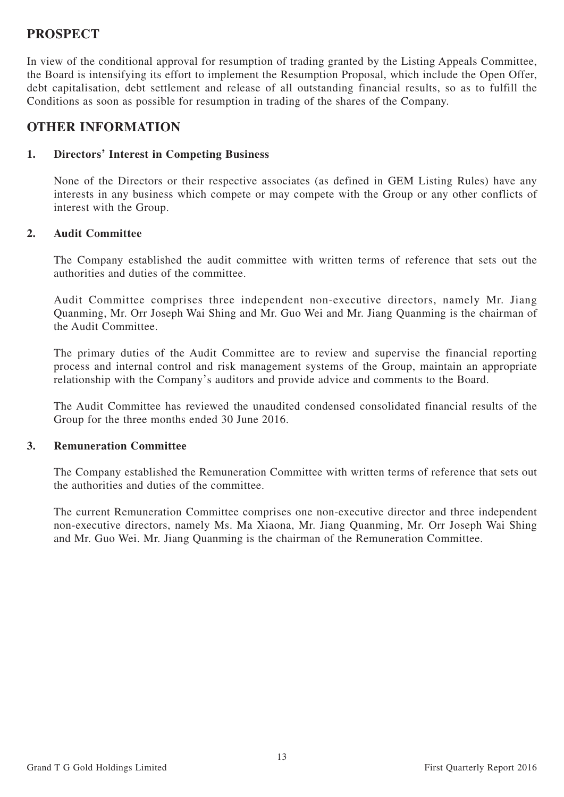## **PROSPECT**

In view of the conditional approval for resumption of trading granted by the Listing Appeals Committee, the Board is intensifying its effort to implement the Resumption Proposal, which include the Open Offer, debt capitalisation, debt settlement and release of all outstanding financial results, so as to fulfill the Conditions as soon as possible for resumption in trading of the shares of the Company.

## **OTHER INFORMATION**

### **1. Directors' Interest in Competing Business**

None of the Directors or their respective associates (as defined in GEM Listing Rules) have any interests in any business which compete or may compete with the Group or any other conflicts of interest with the Group.

### **2. Audit Committee**

The Company established the audit committee with written terms of reference that sets out the authorities and duties of the committee.

Audit Committee comprises three independent non-executive directors, namely Mr. Jiang Quanming, Mr. Orr Joseph Wai Shing and Mr. Guo Wei and Mr. Jiang Quanming is the chairman of the Audit Committee.

The primary duties of the Audit Committee are to review and supervise the financial reporting process and internal control and risk management systems of the Group, maintain an appropriate relationship with the Company's auditors and provide advice and comments to the Board.

The Audit Committee has reviewed the unaudited condensed consolidated financial results of the Group for the three months ended 30 June 2016.

## **3. Remuneration Committee**

The Company established the Remuneration Committee with written terms of reference that sets out the authorities and duties of the committee.

The current Remuneration Committee comprises one non-executive director and three independent non-executive directors, namely Ms. Ma Xiaona, Mr. Jiang Quanming, Mr. Orr Joseph Wai Shing and Mr. Guo Wei. Mr. Jiang Quanming is the chairman of the Remuneration Committee.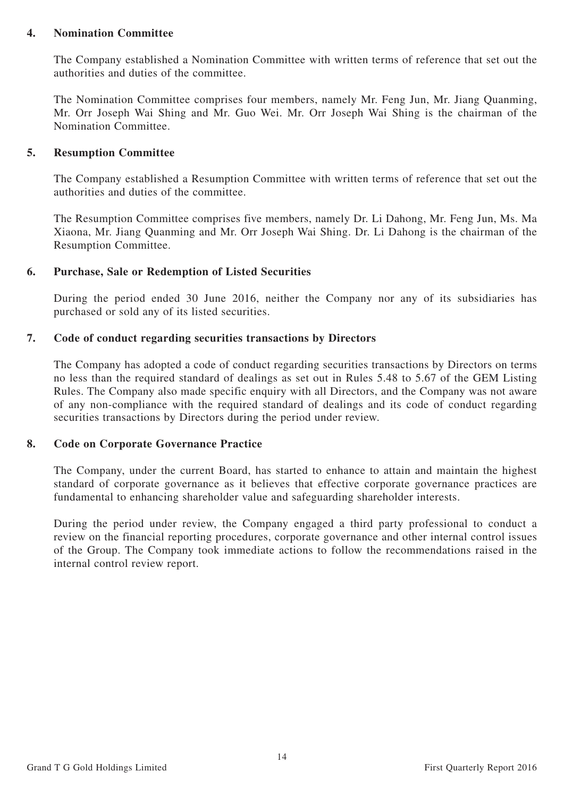### **4. Nomination Committee**

The Company established a Nomination Committee with written terms of reference that set out the authorities and duties of the committee.

The Nomination Committee comprises four members, namely Mr. Feng Jun, Mr. Jiang Quanming, Mr. Orr Joseph Wai Shing and Mr. Guo Wei. Mr. Orr Joseph Wai Shing is the chairman of the Nomination Committee.

#### **5. Resumption Committee**

The Company established a Resumption Committee with written terms of reference that set out the authorities and duties of the committee.

The Resumption Committee comprises five members, namely Dr. Li Dahong, Mr. Feng Jun, Ms. Ma Xiaona, Mr. Jiang Quanming and Mr. Orr Joseph Wai Shing. Dr. Li Dahong is the chairman of the Resumption Committee.

### **6. Purchase, Sale or Redemption of Listed Securities**

During the period ended 30 June 2016, neither the Company nor any of its subsidiaries has purchased or sold any of its listed securities.

### **7. Code of conduct regarding securities transactions by Directors**

The Company has adopted a code of conduct regarding securities transactions by Directors on terms no less than the required standard of dealings as set out in Rules 5.48 to 5.67 of the GEM Listing Rules. The Company also made specific enquiry with all Directors, and the Company was not aware of any non-compliance with the required standard of dealings and its code of conduct regarding securities transactions by Directors during the period under review.

## **8. Code on Corporate Governance Practice**

The Company, under the current Board, has started to enhance to attain and maintain the highest standard of corporate governance as it believes that effective corporate governance practices are fundamental to enhancing shareholder value and safeguarding shareholder interests.

During the period under review, the Company engaged a third party professional to conduct a review on the financial reporting procedures, corporate governance and other internal control issues of the Group. The Company took immediate actions to follow the recommendations raised in the internal control review report.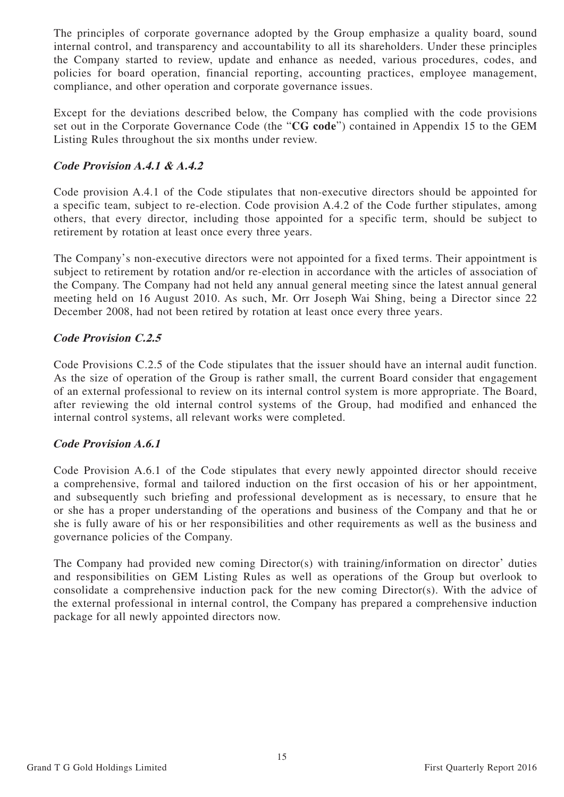The principles of corporate governance adopted by the Group emphasize a quality board, sound internal control, and transparency and accountability to all its shareholders. Under these principles the Company started to review, update and enhance as needed, various procedures, codes, and policies for board operation, financial reporting, accounting practices, employee management, compliance, and other operation and corporate governance issues.

Except for the deviations described below, the Company has complied with the code provisions set out in the Corporate Governance Code (the "**CG code**") contained in Appendix 15 to the GEM Listing Rules throughout the six months under review.

## **Code Provision A.4.1 & A.4.2**

Code provision A.4.1 of the Code stipulates that non-executive directors should be appointed for a specific team, subject to re-election. Code provision A.4.2 of the Code further stipulates, among others, that every director, including those appointed for a specific term, should be subject to retirement by rotation at least once every three years.

The Company's non-executive directors were not appointed for a fixed terms. Their appointment is subject to retirement by rotation and/or re-election in accordance with the articles of association of the Company. The Company had not held any annual general meeting since the latest annual general meeting held on 16 August 2010. As such, Mr. Orr Joseph Wai Shing, being a Director since 22 December 2008, had not been retired by rotation at least once every three years.

## **Code Provision C.2.5**

Code Provisions C.2.5 of the Code stipulates that the issuer should have an internal audit function. As the size of operation of the Group is rather small, the current Board consider that engagement of an external professional to review on its internal control system is more appropriate. The Board, after reviewing the old internal control systems of the Group, had modified and enhanced the internal control systems, all relevant works were completed.

## **Code Provision A.6.1**

Code Provision A.6.1 of the Code stipulates that every newly appointed director should receive a comprehensive, formal and tailored induction on the first occasion of his or her appointment, and subsequently such briefing and professional development as is necessary, to ensure that he or she has a proper understanding of the operations and business of the Company and that he or she is fully aware of his or her responsibilities and other requirements as well as the business and governance policies of the Company.

The Company had provided new coming Director(s) with training/information on director' duties and responsibilities on GEM Listing Rules as well as operations of the Group but overlook to consolidate a comprehensive induction pack for the new coming Director(s). With the advice of the external professional in internal control, the Company has prepared a comprehensive induction package for all newly appointed directors now.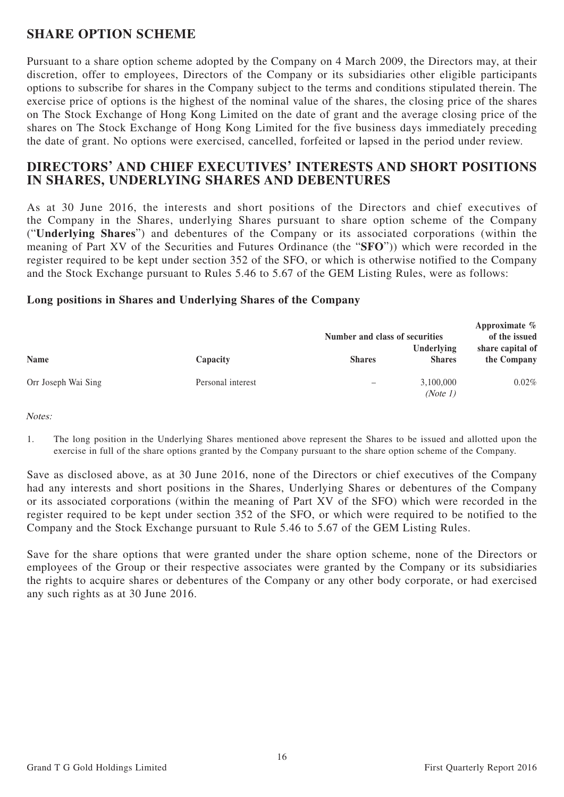## **SHARE OPTION SCHEME**

Pursuant to a share option scheme adopted by the Company on 4 March 2009, the Directors may, at their discretion, offer to employees, Directors of the Company or its subsidiaries other eligible participants options to subscribe for shares in the Company subject to the terms and conditions stipulated therein. The exercise price of options is the highest of the nominal value of the shares, the closing price of the shares on The Stock Exchange of Hong Kong Limited on the date of grant and the average closing price of the shares on The Stock Exchange of Hong Kong Limited for the five business days immediately preceding the date of grant. No options were exercised, cancelled, forfeited or lapsed in the period under review.

## **DIRECTORS' AND CHIEF EXECUTIVES' INTERESTS AND SHORT POSITIONS IN SHARES, UNDERLYING SHARES AND DEBENTURES**

As at 30 June 2016, the interests and short positions of the Directors and chief executives of the Company in the Shares, underlying Shares pursuant to share option scheme of the Company ("**Underlying Shares**") and debentures of the Company or its associated corporations (within the meaning of Part XV of the Securities and Futures Ordinance (the "**SFO**")) which were recorded in the register required to be kept under section 352 of the SFO, or which is otherwise notified to the Company and the Stock Exchange pursuant to Rules 5.46 to 5.67 of the GEM Listing Rules, were as follows:

## **Long positions in Shares and Underlying Shares of the Company**

|                     |                   |               | Number and class of securities |                                 |  |  |
|---------------------|-------------------|---------------|--------------------------------|---------------------------------|--|--|
| <b>Name</b>         | Capacity          | <b>Shares</b> | Underlying<br><b>Shares</b>    | share capital of<br>the Company |  |  |
| Orr Joseph Wai Sing | Personal interest |               | 3,100,000<br>(Note 1)          | 0.02%                           |  |  |

Notes:

1. The long position in the Underlying Shares mentioned above represent the Shares to be issued and allotted upon the exercise in full of the share options granted by the Company pursuant to the share option scheme of the Company.

Save as disclosed above, as at 30 June 2016, none of the Directors or chief executives of the Company had any interests and short positions in the Shares, Underlying Shares or debentures of the Company or its associated corporations (within the meaning of Part XV of the SFO) which were recorded in the register required to be kept under section 352 of the SFO, or which were required to be notified to the Company and the Stock Exchange pursuant to Rule 5.46 to 5.67 of the GEM Listing Rules.

Save for the share options that were granted under the share option scheme, none of the Directors or employees of the Group or their respective associates were granted by the Company or its subsidiaries the rights to acquire shares or debentures of the Company or any other body corporate, or had exercised any such rights as at 30 June 2016.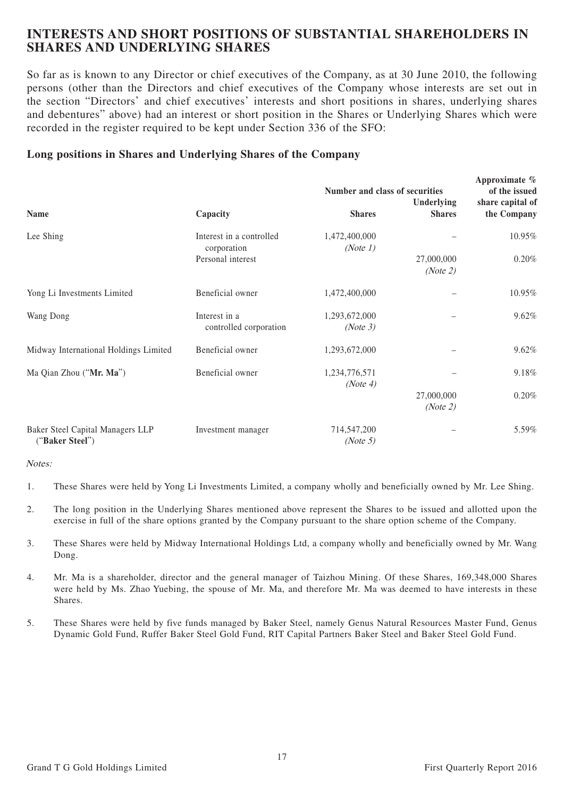## **INTERESTS AND SHORT POSITIONS OF SUBSTANTIAL SHAREHOLDERS IN SHARES AND UNDERLYING SHARES**

So far as is known to any Director or chief executives of the Company, as at 30 June 2010, the following persons (other than the Directors and chief executives of the Company whose interests are set out in the section "Directors' and chief executives' interests and short positions in shares, underlying shares and debentures" above) had an interest or short position in the Shares or Underlying Shares which were recorded in the register required to be kept under Section 336 of the SFO:

### **Long positions in Shares and Underlying Shares of the Company**

|                                                     |                                         | Number and class of securities | Approximate $\%$<br>of the issued |                                 |
|-----------------------------------------------------|-----------------------------------------|--------------------------------|-----------------------------------|---------------------------------|
| Name                                                | Capacity                                | <b>Shares</b>                  | Underlying<br><b>Shares</b>       | share capital of<br>the Company |
| Lee Shing                                           | Interest in a controlled<br>corporation | 1,472,400,000<br>(Note 1)      |                                   | 10.95%                          |
|                                                     | Personal interest                       |                                | 27,000,000<br>(Note 2)            | 0.20%                           |
| Yong Li Investments Limited                         | Beneficial owner                        | 1,472,400,000                  |                                   | 10.95%                          |
| Wang Dong                                           | Interest in a<br>controlled corporation | 1,293,672,000<br>(Note 3)      |                                   | 9.62%                           |
| Midway International Holdings Limited               | Beneficial owner                        | 1,293,672,000                  |                                   | 9.62%                           |
| Ma Qian Zhou ("Mr. Ma")                             | Beneficial owner                        | 1,234,776,571<br>(Note 4)      |                                   | 9.18%                           |
|                                                     |                                         |                                | 27,000,000<br>(Note 2)            | 0.20%                           |
| Baker Steel Capital Managers LLP<br>("Baker Steel") | Investment manager                      | 714,547,200<br>(Note 5)        |                                   | 5.59%                           |

Notes:

- 1. These Shares were held by Yong Li Investments Limited, a company wholly and beneficially owned by Mr. Lee Shing.
- 2. The long position in the Underlying Shares mentioned above represent the Shares to be issued and allotted upon the exercise in full of the share options granted by the Company pursuant to the share option scheme of the Company.
- 3. These Shares were held by Midway International Holdings Ltd, a company wholly and beneficially owned by Mr. Wang Dong.
- 4. Mr. Ma is a shareholder, director and the general manager of Taizhou Mining. Of these Shares, 169,348,000 Shares were held by Ms. Zhao Yuebing, the spouse of Mr. Ma, and therefore Mr. Ma was deemed to have interests in these Shares.
- 5. These Shares were held by five funds managed by Baker Steel, namely Genus Natural Resources Master Fund, Genus Dynamic Gold Fund, Ruffer Baker Steel Gold Fund, RIT Capital Partners Baker Steel and Baker Steel Gold Fund.